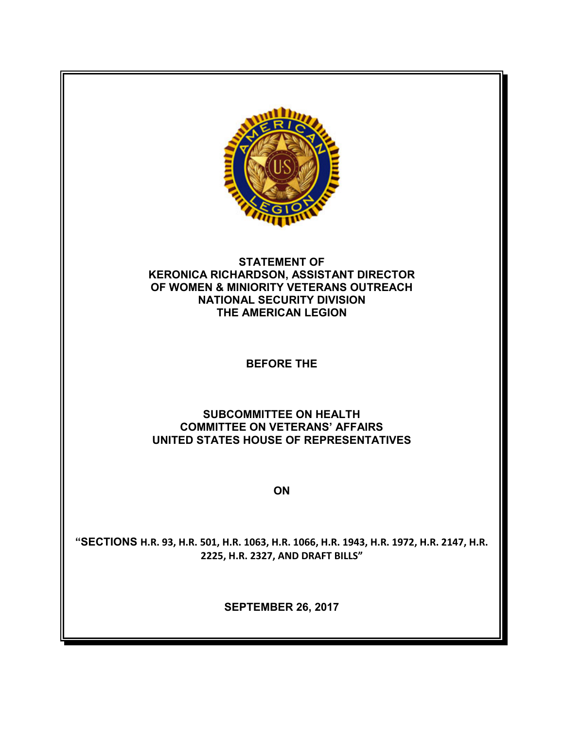

## **STATEMENT OF KERONICA RICHARDSON, ASSISTANT DIRECTOR OF WOMEN & MINIORITY VETERANS OUTREACH NATIONAL SECURITY DIVISION THE AMERICAN LEGION**

# **BEFORE THE**

# **SUBCOMMITTEE ON HEALTH COMMITTEE ON VETERANS' AFFAIRS UNITED STATES HOUSE OF REPRESENTATIVES**

**ON**

**"SECTIONS H.R. 93, H.R. 501, H.R. 1063, H.R. 1066, H.R. 1943, H.R. 1972, H.R. 2147, H.R. 2225, H.R. 2327, AND DRAFT BILLS"**

**SEPTEMBER 26, 2017**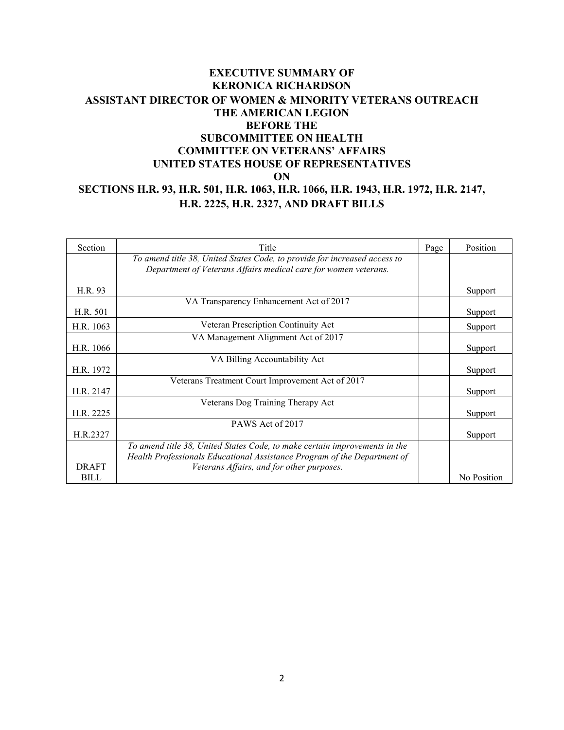## **EXECUTIVE SUMMARY OF KERONICA RICHARDSON ASSISTANT DIRECTOR OF WOMEN & MINORITY VETERANS OUTREACH THE AMERICAN LEGION BEFORE THE SUBCOMMITTEE ON HEALTH COMMITTEE ON VETERANS' AFFAIRS UNITED STATES HOUSE OF REPRESENTATIVES ON SECTIONS H.R. 93, H.R. 501, H.R. 1063, H.R. 1066, H.R. 1943, H.R. 1972, H.R. 2147, H.R. 2225, H.R. 2327, AND DRAFT BILLS**

| Section      | Title                                                                      | Page | Position    |
|--------------|----------------------------------------------------------------------------|------|-------------|
|              | To amend title 38, United States Code, to provide for increased access to  |      |             |
|              | Department of Veterans Affairs medical care for women veterans.            |      |             |
| H.R. 93      |                                                                            |      | Support     |
|              | VA Transparency Enhancement Act of 2017                                    |      |             |
| H.R. 501     |                                                                            |      | Support     |
| H.R. 1063    | Veteran Prescription Continuity Act                                        |      | Support     |
|              | VA Management Alignment Act of 2017                                        |      |             |
| H.R. 1066    |                                                                            |      | Support     |
|              | VA Billing Accountability Act                                              |      |             |
| H.R. 1972    |                                                                            |      | Support     |
|              | Veterans Treatment Court Improvement Act of 2017                           |      |             |
| H.R. 2147    |                                                                            |      | Support     |
|              | Veterans Dog Training Therapy Act                                          |      |             |
| H.R. 2225    |                                                                            |      | Support     |
|              | PAWS Act of 2017                                                           |      |             |
| H.R.2327     |                                                                            |      | Support     |
|              | To amend title 38, United States Code, to make certain improvements in the |      |             |
|              | Health Professionals Educational Assistance Program of the Department of   |      |             |
| <b>DRAFT</b> | Veterans Affairs, and for other purposes.                                  |      |             |
| <b>BILL</b>  |                                                                            |      | No Position |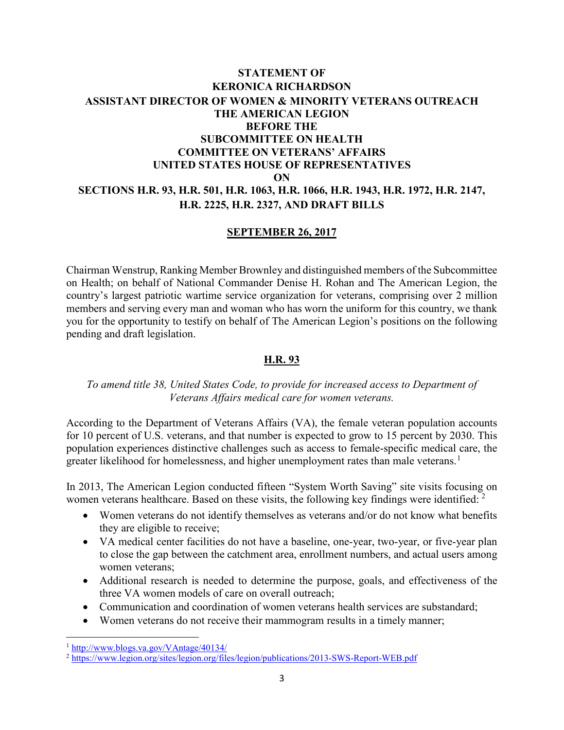# **STATEMENT OF KERONICA RICHARDSON ASSISTANT DIRECTOR OF WOMEN & MINORITY VETERANS OUTREACH THE AMERICAN LEGION BEFORE THE SUBCOMMITTEE ON HEALTH COMMITTEE ON VETERANS' AFFAIRS UNITED STATES HOUSE OF REPRESENTATIVES ON SECTIONS H.R. 93, H.R. 501, H.R. 1063, H.R. 1066, H.R. 1943, H.R. 1972, H.R. 2147, H.R. 2225, H.R. 2327, AND DRAFT BILLS**

#### **SEPTEMBER 26, 2017**

Chairman Wenstrup, Ranking Member Brownley and distinguished members of the Subcommittee on Health; on behalf of National Commander Denise H. Rohan and The American Legion, the country's largest patriotic wartime service organization for veterans, comprising over 2 million members and serving every man and woman who has worn the uniform for this country, we thank you for the opportunity to testify on behalf of The American Legion's positions on the following pending and draft legislation.

#### **H.R. 93**

#### *To amend title 38, United States Code, to provide for increased access to Department of Veterans Affairs medical care for women veterans.*

According to the Department of Veterans Affairs (VA), the female veteran population accounts for 10 percent of U.S. veterans, and that number is expected to grow to 15 percent by 2030. This population experiences distinctive challenges such as access to female-specific medical care, the greater likelihood for homelessness, and higher unemployment rates than male veterans.<sup>[1](#page-2-0)</sup>

In 2013, The American Legion conducted fifteen "System Worth Saving" site visits focusing on women veterans healthcare. Based on these visits, the following key findings were identified: <sup>[2](#page-2-1)</sup>

- Women veterans do not identify themselves as veterans and/or do not know what benefits they are eligible to receive;
- VA medical center facilities do not have a baseline, one-year, two-year, or five-year plan to close the gap between the catchment area, enrollment numbers, and actual users among women veterans;
- Additional research is needed to determine the purpose, goals, and effectiveness of the three VA women models of care on overall outreach;
- Communication and coordination of women veterans health services are substandard;
- Women veterans do not receive their mammogram results in a timely manner;

l

<span id="page-2-0"></span><sup>&</sup>lt;sup>1</sup> <http://www.blogs.va.gov/VAntage/40134/>

<span id="page-2-1"></span><sup>2</sup> <https://www.legion.org/sites/legion.org/files/legion/publications/2013-SWS-Report-WEB.pdf>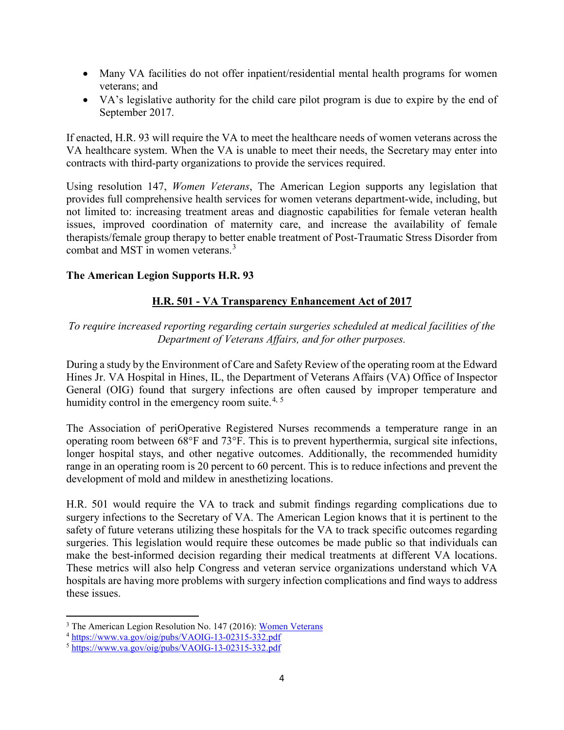- Many VA facilities do not offer inpatient/residential mental health programs for women veterans; and
- VA's legislative authority for the child care pilot program is due to expire by the end of September 2017.

If enacted, H.R. 93 will require the VA to meet the healthcare needs of women veterans across the VA healthcare system. When the VA is unable to meet their needs, the Secretary may enter into contracts with third-party organizations to provide the services required.

Using resolution 147, *Women Veterans*, The American Legion supports any legislation that provides full comprehensive health services for women veterans department-wide, including, but not limited to: increasing treatment areas and diagnostic capabilities for female veteran health issues, improved coordination of maternity care, and increase the availability of female therapists/female group therapy to better enable treatment of Post-Traumatic Stress Disorder from combat and MST in women veterans.[3](#page-3-0)

## **The American Legion Supports H.R. 93**

## **H.R. 501 - VA Transparency Enhancement Act of 2017**

*To require increased reporting regarding certain surgeries scheduled at medical facilities of the Department of Veterans Affairs, and for other purposes.* 

During a study by the Environment of Care and Safety Review of the operating room at the Edward Hines Jr. VA Hospital in Hines, IL, the Department of Veterans Affairs (VA) Office of Inspector General (OIG) found that surgery infections are often caused by improper temperature and humidity control in the emergency room suite.<sup>[4,](#page-3-1) [5](#page-3-2)</sup>

The Association of periOperative Registered Nurses recommends a temperature range in an operating room between 68°F and 73°F. This is to prevent hyperthermia, surgical site infections, longer hospital stays, and other negative outcomes. Additionally, the recommended humidity range in an operating room is 20 percent to 60 percent. This is to reduce infections and prevent the development of mold and mildew in anesthetizing locations.

H.R. 501 would require the VA to track and submit findings regarding complications due to surgery infections to the Secretary of VA. The American Legion knows that it is pertinent to the safety of future veterans utilizing these hospitals for the VA to track specific outcomes regarding surgeries. This legislation would require these outcomes be made public so that individuals can make the best-informed decision regarding their medical treatments at different VA locations. These metrics will also help Congress and veteran service organizations understand which VA hospitals are having more problems with surgery infection complications and find ways to address these issues.

 $\overline{a}$ 

<span id="page-3-0"></span><sup>&</sup>lt;sup>3</sup> The American Legion Resolution No. 147 (2016): [Women Veterans](https://archive.legion.org/bitstream/handle/123456789/5488/2016N147.pdf?sequence=1&isAllowed=y)

<span id="page-3-1"></span><sup>4</sup> <https://www.va.gov/oig/pubs/VAOIG-13-02315-332.pdf>

<span id="page-3-2"></span> $5 \frac{\text{https://www.va.gov/oja/pubs/VAOIG-13-02315-332.pdf}}{2 \frac{\text{https://www.va.gov/oja/pubs/VAOIG-13-02315-332.pdf}}$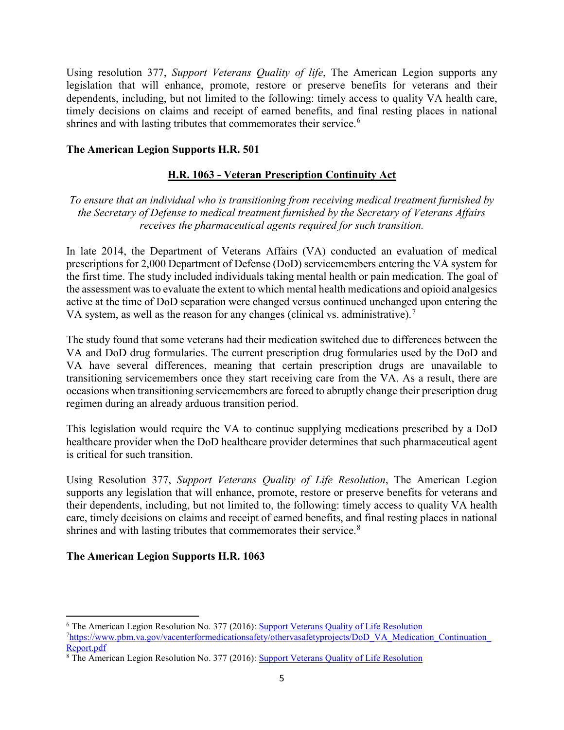Using resolution 377, *Support Veterans Quality of life*, The American Legion supports any legislation that will enhance, promote, restore or preserve benefits for veterans and their dependents, including, but not limited to the following: timely access to quality VA health care, timely decisions on claims and receipt of earned benefits, and final resting places in national shrines and with lasting tributes that commemorates their service.<sup>[6](#page-4-0)</sup>

### **The American Legion Supports H.R. 501**

## **H.R. 1063 - Veteran Prescription Continuity Act**

*To ensure that an individual who is transitioning from receiving medical treatment furnished by the Secretary of Defense to medical treatment furnished by the Secretary of Veterans Affairs receives the pharmaceutical agents required for such transition.* 

In late 2014, the Department of Veterans Affairs (VA) conducted an evaluation of medical prescriptions for 2,000 Department of Defense (DoD) servicemembers entering the VA system for the first time. The study included individuals taking mental health or pain medication. The goal of the assessment was to evaluate the extent to which mental health medications and opioid analgesics active at the time of DoD separation were changed versus continued unchanged upon entering the VA system, as well as the reason for any changes (clinical vs. administrative).<sup>[7](#page-4-1)</sup>

The study found that some veterans had their medication switched due to differences between the VA and DoD drug formularies. The current prescription drug formularies used by the DoD and VA have several differences, meaning that certain prescription drugs are unavailable to transitioning servicemembers once they start receiving care from the VA. As a result, there are occasions when transitioning servicemembers are forced to abruptly change their prescription drug regimen during an already arduous transition period.

This legislation would require the VA to continue supplying medications prescribed by a DoD healthcare provider when the DoD healthcare provider determines that such pharmaceutical agent is critical for such transition.

Using Resolution 377, *Support Veterans Quality of Life Resolution*, The American Legion supports any legislation that will enhance, promote, restore or preserve benefits for veterans and their dependents, including, but not limited to, the following: timely access to quality VA health care, timely decisions on claims and receipt of earned benefits, and final resting places in national shrines and with lasting tributes that commemorates their service.<sup>[8](#page-4-2)</sup>

## **The American Legion Supports H.R. 1063**

<span id="page-4-0"></span> $\overline{a}$ <sup>6</sup> The American Legion Resolution No. 377 (2016): [Support Veterans Quality of Life Resolution](https://archive.legion.org/handle/123456789/5696)

<span id="page-4-1"></span><sup>&</sup>lt;sup>7</sup>[https://www.pbm.va.gov/vacenterformedicationsafety/othervasafetyprojects/DoD\\_VA\\_Medication\\_Continuation\\_](https://www.pbm.va.gov/vacenterformedicationsafety/othervasafetyprojects/DoD_VA_Medication_Continuation_Report.pdf) Report.pdf<br><sup>8</sup> The American Legion Resolution No. 377 (2016): [Support Veterans Quality of Life Resolution](https://archive.legion.org/handle/123456789/5696)

<span id="page-4-2"></span>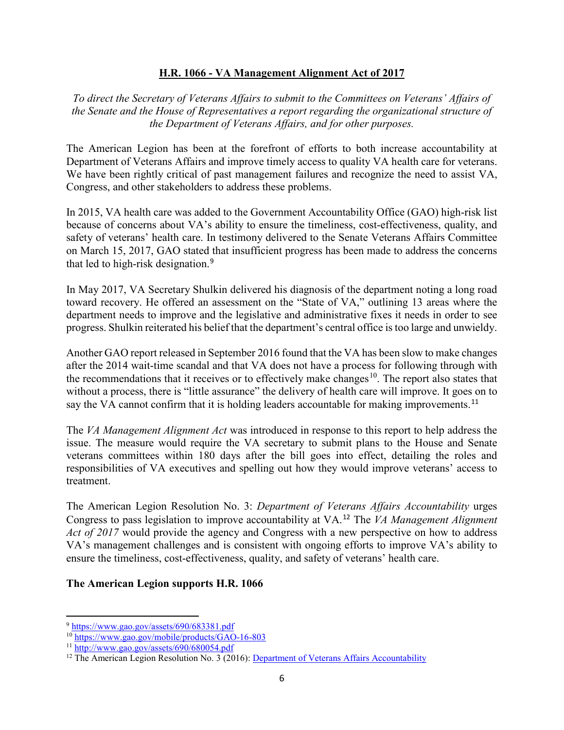#### **H.R. 1066 - VA Management Alignment Act of 2017**

*To direct the Secretary of Veterans Affairs to submit to the Committees on Veterans' Affairs of the Senate and the House of Representatives a report regarding the organizational structure of the Department of Veterans Affairs, and for other purposes.*

The American Legion has been at the forefront of efforts to both increase accountability at Department of Veterans Affairs and improve timely access to quality VA health care for veterans. We have been rightly critical of past management failures and recognize the need to assist VA, Congress, and other stakeholders to address these problems.

In 2015, VA health care was added to the Government Accountability Office (GAO) high-risk list because of concerns about VA's ability to ensure the timeliness, cost-effectiveness, quality, and safety of veterans' health care. In testimony delivered to the Senate Veterans Affairs Committee on March 15, 2017, GAO stated that insufficient progress has been made to address the concerns that led to high-risk designation.[9](#page-5-0)

In May 2017, VA Secretary Shulkin delivered his diagnosis of the department noting a long road toward recovery. He offered an assessment on the "State of VA," outlining 13 areas where the department needs to improve and the legislative and administrative fixes it needs in order to see progress. Shulkin reiterated his belief that the department's central office is too large and unwieldy.

Another GAO report released in September 2016 found that the VA has been slow to make changes after the 2014 wait-time scandal and that VA does not have a process for following through with the recommendations that it receives or to effectively make changes<sup>[10](#page-5-1)</sup>. The report also states that without a process, there is "little assurance" the delivery of health care will improve. It goes on to say the VA cannot confirm that it is holding leaders accountable for making improvements.<sup>[11](#page-5-2)</sup>

The *VA Management Alignment Act* was introduced in response to this report to help address the issue. The measure would require the VA secretary to submit plans to the House and Senate veterans committees within 180 days after the bill goes into effect, detailing the roles and responsibilities of VA executives and spelling out how they would improve veterans' access to treatment.

The American Legion Resolution No. 3: *Department of Veterans Affairs Accountability* urges Congress to pass legislation to improve accountability at VA.[12](#page-5-3) The *VA Management Alignment Act of 2017* would provide the agency and Congress with a new perspective on how to address VA's management challenges and is consistent with ongoing efforts to improve VA's ability to ensure the timeliness, cost-effectiveness, quality, and safety of veterans' health care.

#### **The American Legion supports H.R. 1066**

 $\overline{a}$ 

<span id="page-5-0"></span><sup>9</sup> <https://www.gao.gov/assets/690/683381.pdf>

<span id="page-5-1"></span><sup>10</sup> <https://www.gao.gov/mobile/products/GAO-16-803>

<span id="page-5-2"></span> $11$  <http://www.gao.gov/assets/690/680054.pdf>

<span id="page-5-3"></span> $12$  The American Legion Resolution No. 3 (2016): [Department of Veterans Affairs Accountability](https://archive.legion.org/bitstream/handle/123456789/5677/2016N003.pdf?sequence=4&isAllowed=y)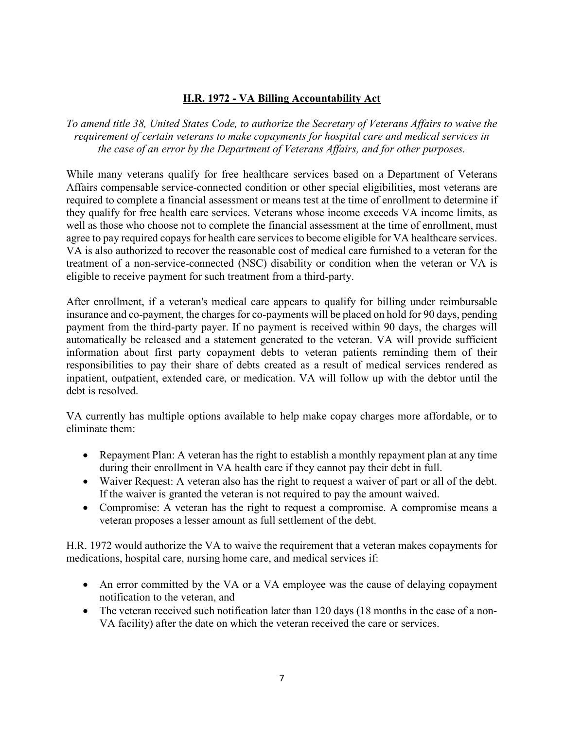## **H.R. 1972 - VA Billing Accountability Act**

*To amend title 38, United States Code, to authorize the Secretary of Veterans Affairs to waive the requirement of certain veterans to make copayments for hospital care and medical services in the case of an error by the Department of Veterans Affairs, and for other purposes.* 

While many veterans qualify for free healthcare services based on a Department of Veterans Affairs compensable service-connected condition or other special eligibilities, most veterans are required to complete a financial assessment or means test at the time of enrollment to determine if they qualify for free health care services. Veterans whose income exceeds VA income limits, as well as those who choose not to complete the financial assessment at the time of enrollment, must agree to pay required copays for health care services to become eligible for VA healthcare services. VA is also authorized to recover the reasonable cost of medical care furnished to a veteran for the treatment of a non-service-connected (NSC) disability or condition when the veteran or VA is eligible to receive payment for such treatment from a third-party.

After enrollment, if a veteran's medical care appears to qualify for billing under reimbursable insurance and co-payment, the charges for co-payments will be placed on hold for 90 days, pending payment from the third-party payer. If no payment is received within 90 days, the charges will automatically be released and a statement generated to the veteran. VA will provide sufficient information about first party copayment debts to veteran patients reminding them of their responsibilities to pay their share of debts created as a result of medical services rendered as inpatient, outpatient, extended care, or medication. VA will follow up with the debtor until the debt is resolved.

VA currently has multiple options available to help make copay charges more affordable, or to eliminate them:

- Repayment Plan: A veteran has the right to establish a monthly repayment plan at any time during their enrollment in VA health care if they cannot pay their debt in full.
- Waiver Request: A veteran also has the right to request a waiver of part or all of the debt. If the waiver is granted the veteran is not required to pay the amount waived.
- Compromise: A veteran has the right to request a compromise. A compromise means a veteran proposes a lesser amount as full settlement of the debt.

H.R. 1972 would authorize the VA to waive the requirement that a veteran makes copayments for medications, hospital care, nursing home care, and medical services if:

- An error committed by the VA or a VA employee was the cause of delaying copayment notification to the veteran, and
- The veteran received such notification later than 120 days (18 months in the case of a non-VA facility) after the date on which the veteran received the care or services.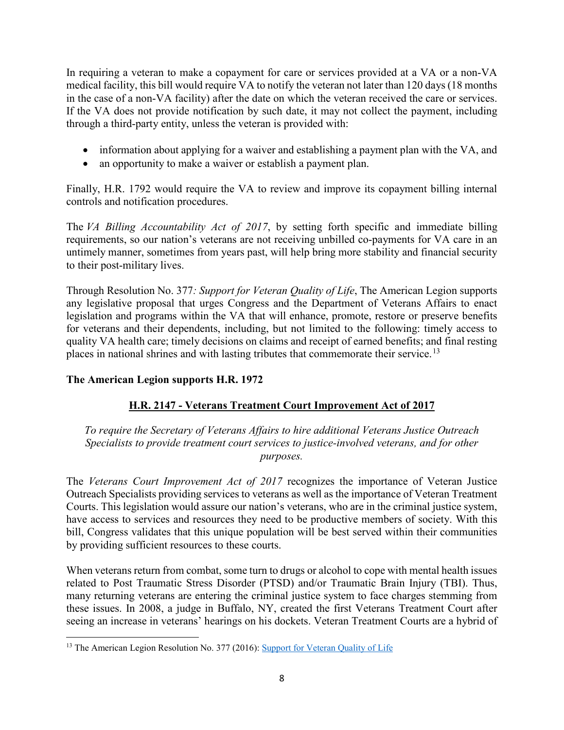In requiring a veteran to make a copayment for care or services provided at a VA or a non-VA medical facility, this bill would require VA to notify the veteran not later than 120 days (18 months in the case of a non-VA facility) after the date on which the veteran received the care or services. If the VA does not provide notification by such date, it may not collect the payment, including through a third-party entity, unless the veteran is provided with:

- information about applying for a waiver and establishing a payment plan with the VA, and
- an opportunity to make a waiver or establish a payment plan.

Finally, H.R. 1792 would require the VA to review and improve its copayment billing internal controls and notification procedures.

The *VA Billing Accountability Act of 2017*, by setting forth specific and immediate billing requirements, so our nation's veterans are not receiving unbilled co-payments for VA care in an untimely manner, sometimes from years past, will help bring more stability and financial security to their post-military lives.

Through Resolution No. 377*: Support for Veteran Quality of Life*, The American Legion supports any legislative proposal that urges Congress and the Department of Veterans Affairs to enact legislation and programs within the VA that will enhance, promote, restore or preserve benefits for veterans and their dependents, including, but not limited to the following: timely access to quality VA health care; timely decisions on claims and receipt of earned benefits; and final resting places in national shrines and with lasting tributes that commemorate their service.<sup>13</sup>

# **The American Legion supports H.R. 1972**

# **H.R. 2147 - Veterans Treatment Court Improvement Act of 2017**

*To require the Secretary of Veterans Affairs to hire additional Veterans Justice Outreach Specialists to provide treatment court services to justice-involved veterans, and for other purposes.*

The *Veterans Court Improvement Act of 2017* recognizes the importance of Veteran Justice Outreach Specialists providing services to veterans as well as the importance of Veteran Treatment Courts. This legislation would assure our nation's veterans, who are in the criminal justice system, have access to services and resources they need to be productive members of society. With this bill, Congress validates that this unique population will be best served within their communities by providing sufficient resources to these courts.

When veterans return from combat, some turn to drugs or alcohol to cope with mental health issues related to Post Traumatic Stress Disorder (PTSD) and/or Traumatic Brain Injury (TBI). Thus, many returning veterans are entering the criminal justice system to face charges stemming from these issues. In 2008, a judge in Buffalo, NY, created the first Veterans Treatment Court after seeing an increase in veterans' hearings on his dockets. Veteran Treatment Courts are a hybrid of

<span id="page-7-0"></span>l <sup>13</sup> The American Legion Resolution No. 377 (2016): [Support for Veteran Quality of Life](https://archive.legion.org/bitstream/handle/123456789/5696/2016N377.pdf?sequence=1&isAllowed=y)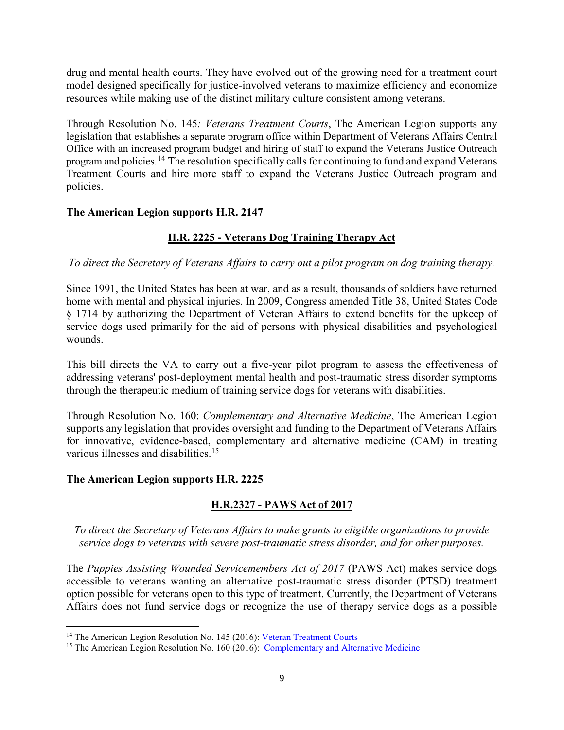drug and mental health courts. They have evolved out of the growing need for a treatment court model designed specifically for justice-involved veterans to maximize efficiency and economize resources while making use of the distinct military culture consistent among veterans.

Through Resolution No. 145*: Veterans Treatment Courts*, The American Legion supports any legislation that establishes a separate program office within Department of Veterans Affairs Central Office with an increased program budget and hiring of staff to expand the Veterans Justice Outreach program and policies. <sup>[14](#page-8-0)</sup> The resolution specifically calls for continuing to fund and expand Veterans Treatment Courts and hire more staff to expand the Veterans Justice Outreach program and policies.

### **The American Legion supports H.R. 2147**

# **H.R. 2225 - Veterans Dog Training Therapy Act**

*To direct the Secretary of Veterans Affairs to carry out a pilot program on dog training therapy.*

Since 1991, the United States has been at war, and as a result, thousands of soldiers have returned home with mental and physical injuries. In 2009, Congress amended Title 38, United States Code § 1714 by authorizing the Department of Veteran Affairs to extend benefits for the upkeep of service dogs used primarily for the aid of persons with physical disabilities and psychological wounds.

This bill directs the VA to carry out a five-year pilot program to assess the effectiveness of addressing veterans' post-deployment mental health and post-traumatic stress disorder symptoms through the therapeutic medium of training service dogs for veterans with disabilities.

Through Resolution No. 160: *Complementary and Alternative Medicine*, The American Legion supports any legislation that provides oversight and funding to the Department of Veterans Affairs for innovative, evidence-based, complementary and alternative medicine (CAM) in treating various illnesses and disabilities.<sup>15</sup>

## **The American Legion supports H.R. 2225**

 $\overline{\phantom{a}}$ 

## **H.R.2327 - PAWS Act of 2017**

*To direct the Secretary of Veterans Affairs to make grants to eligible organizations to provide service dogs to veterans with severe post-traumatic stress disorder, and for other purposes.*

The *Puppies Assisting Wounded Servicemembers Act of 2017* (PAWS Act) makes service dogs accessible to veterans wanting an alternative post-traumatic stress disorder (PTSD) treatment option possible for veterans open to this type of treatment. Currently, the Department of Veterans Affairs does not fund service dogs or recognize the use of therapy service dogs as a possible

<span id="page-8-1"></span><span id="page-8-0"></span><sup>&</sup>lt;sup>14</sup> The American Legion Resolution No. 145 (2016): <u>Veteran Treatment Courts</u><br><sup>15</sup> The American Legion Resolution No. 160 (2016): [Complementary and Alternative Medicine](https://archive.legion.org/handle/123456789/5499)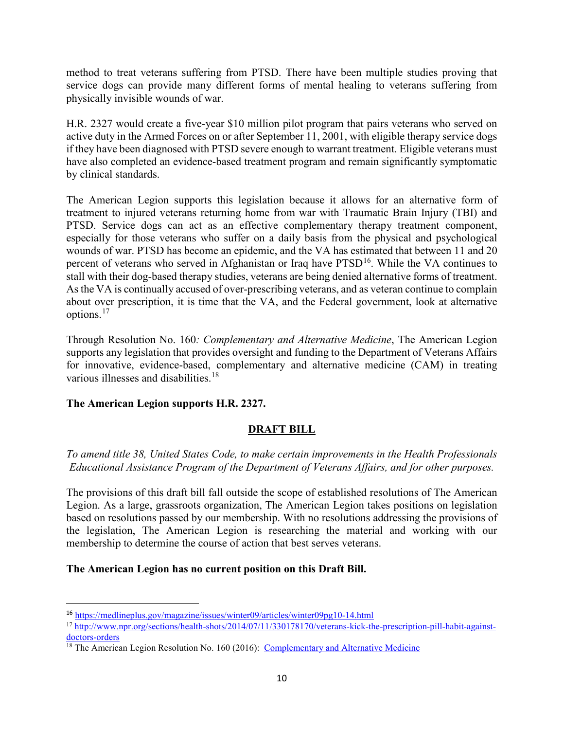method to treat veterans suffering from PTSD. There have been multiple studies proving that service dogs can provide many different forms of mental healing to veterans suffering from physically invisible wounds of war.

H.R. 2327 would create a five-year \$10 million pilot program that pairs veterans who served on active duty in the Armed Forces on or after September 11, 2001, with eligible therapy service dogs if they have been diagnosed with PTSD severe enough to warrant treatment. Eligible veterans must have also completed an evidence-based treatment program and remain significantly symptomatic by clinical standards.

The American Legion supports this legislation because it allows for an alternative form of treatment to injured veterans returning home from war with Traumatic Brain Injury (TBI) and PTSD. Service dogs can act as an effective complementary therapy treatment component, especially for those veterans who suffer on a daily basis from the physical and psychological wounds of war. PTSD has become an epidemic, and the VA has estimated that between 11 and 20 percent of veterans who served in Afghanistan or Iraq have PTSD<sup>16</sup>. While the VA continues to stall with their dog-based therapy studies, veterans are being denied alternative forms of treatment. As the VA is continually accused of over-prescribing veterans, and as veteran continue to complain about over prescription, it is time that the VA, and the Federal government, look at alternative options.[17](#page-9-1)

Through Resolution No. 160*: Complementary and Alternative Medicine*, The American Legion supports any legislation that provides oversight and funding to the Department of Veterans Affairs for innovative, evidence-based, complementary and alternative medicine (CAM) in treating various illnesses and disabilities.<sup>18</sup>

## **The American Legion supports H.R. 2327.**

l

## **DRAFT BILL**

*To amend title 38, United States Code, to make certain improvements in the Health Professionals Educational Assistance Program of the Department of Veterans Affairs, and for other purposes.* 

The provisions of this draft bill fall outside the scope of established resolutions of The American Legion. As a large, grassroots organization, The American Legion takes positions on legislation based on resolutions passed by our membership. With no resolutions addressing the provisions of the legislation, The American Legion is researching the material and working with our membership to determine the course of action that best serves veterans.

## **The American Legion has no current position on this Draft Bill.**

<span id="page-9-0"></span><sup>16</sup> <https://medlineplus.gov/magazine/issues/winter09/articles/winter09pg10-14.html>

<span id="page-9-1"></span><sup>&</sup>lt;sup>17</sup> http://www.npr.org/sections/health-shots/2014/07/11/330178170/veterans-kick-the-prescription-pill-habit-against-<br>doctors-orders

<span id="page-9-2"></span> $\frac{18}{18}$  The American Legion Resolution No. 160 (2016): Complementary and Alternative Medicine